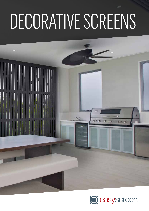# DECORATIVE SCREENS

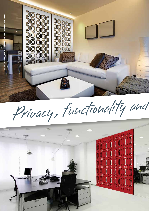

Privacy, functionality and

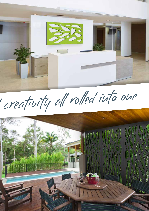

creativity all rolled into one

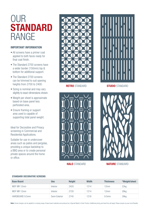## OUR **STANDARD** RANGE

#### **IMPORTANT INFORMATION**

- All screens have a primer coat applied to both faces ready for final coat finish.
- The Standard 2700 screens have a wider border (150mm) top & bottom for additional support.
- The Standard 2700 screens can be trimmed to suit opening heights from 2700 to 2400.
- Sizing is nominal and may vary slightly to exact dimensions shown.
- Weight per sheet is approximate based on base panel less perforated area.
- Ensure framing or support area used is capable of supporting total panel weight.

Ideal for Decorative and Privacy screening in Commercial and Residential Applications.

Suitable for use in undercover areas such as patios and pergolas, providing a unique backdrop to a BBQ area or to create personal private spaces around the home or office.







**RETRO** STANDARD **STUDIO** STANDARD



**HALO** STANDARD **NATURE** STANDARD

#### **STANDARD DECORATIVE SCREENS**

| <b>Base Board</b> | <b>Use</b>    | <b>Height</b> | <b>Width</b> | <b>Thickness</b> | *Weight/sheet      |
|-------------------|---------------|---------------|--------------|------------------|--------------------|
| MDF MR 12mm       | Interior      | 2420          | 1214         | 12mm             | $22$ kg            |
| MDF MR 12mm       | Interior      | 2720          | 1214         | 12mm             | $28$ kg            |
| HARDBOARD 9.5mm   | Semi-Exterior | 2745          | 1218         | 9.5mm            | $28$ <sub>kg</sub> |

Note: Screen designs can be applied to a varying range of base board materials and produced as a Special Made to Order Product. Additional pricing and lead time will apply. Please enquire via your local Reseller.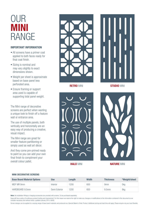### OUR **MINI** RANGE

#### **IMPORTANT INFORMATION**

- All screens have a primer coat applied to both faces ready for final coat finish.
- Sizing is nominal and may vary slightly to exact dimensions shown.
- Weight per sheet is approximate based on base panel less perforated area.
- Ensure framing or support area used is capable of supporting total panel weight.

The Mini range of decorative screens are perfect when wanting a unique look to finish off a feature wall or entrance area.

The use of multiple panels, both vertically and horizontally are an easy way of producing a creative, visual impact.

The Mini range are great for smaller feature partitioning or simply used as wall art décor.

And they come pre-primed ready to paint so you can add your own final finish to compliment your overall colour pallet.



**RETRO** MINI **STUDIO** MINI





**HALO** MINI **NATURE** MINI

#### **MINI DECORATIVE SCREENS**

| <b>Base Board Material Options</b> | <b>Use</b>    | Lenath | <b>Width</b> | <b>Thickness</b> | *Weight/sheet |
|------------------------------------|---------------|--------|--------------|------------------|---------------|
| MDF MR 9mm                         | Interior      | 1200   | 600          | 9 <sub>mm</sub>  | 5kg           |
| HARDBOARD 9.5mm                    | Semi-Exterior | 1200   | 600          | $9.5$ mm         | 8kg           |

**Note:** No installation fittings or hanging accessories are provided with screens. To be purchased separately.

Easycraft has a policy of continuous product testing and improvement. For this reason we reserve the right to make any changes or modifications to the information contained in this document as we consider necessary and without notice. (updated January 2015. E&OE)

Screen designs can be applied to a varying range of base board materials and produced as a Special Made to Order Product. Additional pricing and lead time will apply. Please enquire via your local Reseller.